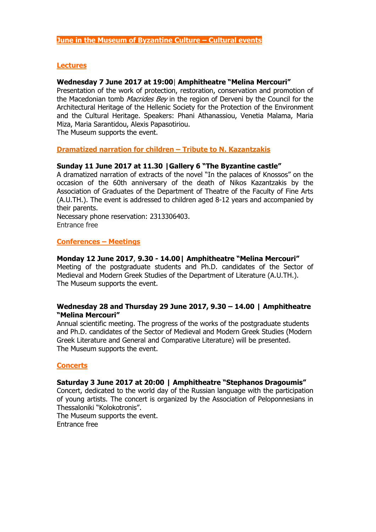# **Lectures**

# **Wednesday 7 June 2017 at 19:00**| **Amphitheatre "Melina Mercouri"**

Presentation of the work of protection, restoration, conservation and promotion of the Macedonian tomb *Macrides Bey* in the region of Derveni by the Council for the Architectural Heritage of the Hellenic Society for the Protection of the Environment and the Cultural Heritage. Speakers: Phani Athanassiou, Venetia Malama, Maria Miza, Maria Sarantidou, Alexis Papasotiriou.

The Museum supports the event.

# **Dramatized narration for children – Tribute to N. Kazantzakis**

# **Sunday 11 June 2017 at 11.30 |Gallery 6 "The Byzantine castle"**

A dramatized narration of extracts of the novel "In the palaces of Knossos" on the occasion of the 60th anniversary of the death of Nikos Kazantzakis by the Association of Graduates of the Department of Theatre of the Faculty of Fine Arts (A.U.TH.). The event is addressed to children aged 8-12 years and accompanied by their parents.

Necessary phone reservation: 2313306403. Entrance free

## **Conferences – Meetings**

## **Monday 12 June 2017**, **9.30 - 14.00| Amphitheatre "Melina Mercouri"**

Meeting of the postgraduate students and Ph.D. candidates of the Sector of Medieval and Modern Greek Studies of the Department of Literature (A.U.TH.). The Museum supports the event.

# **Wednesday 28 and Thursday 29 June 2017, 9.30 – 14.00 | Amphitheatre "Melina Mercouri"**

Annual scientific meeting. The progress of the works of the postgraduate students and Ph.D. candidates of the Sector of Medieval and Modern Greek Studies (Modern Greek Literature and General and Comparative Literature) will be presented. The Museum supports the event.

## **Concerts**

## **Saturday 3 June 2017 at 20:00 | Amphitheatre "Stephanos Dragoumis"**

Concert, dedicated to the world day of the Russian language with the participation of young artists. The concert is organized by the Association of Peloponnesians in Thessaloniki "Kolokotronis".

The Museum supports the event. Entrance free